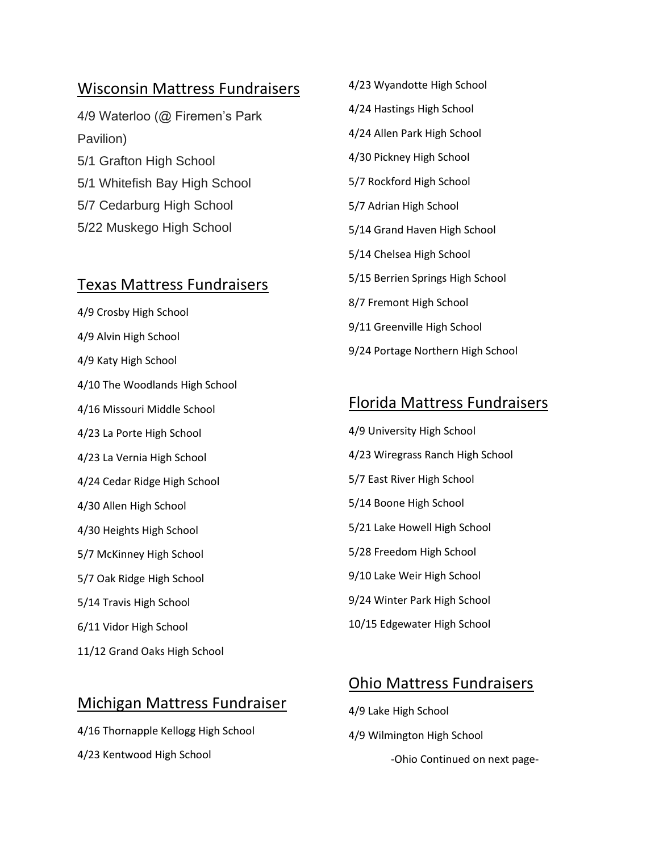#### Wisconsin Mattress Fundraisers

4/9 Waterloo (@ Firemen's Park Pavilion) 5/1 Grafton High School 5/1 Whitefish Bay High School 5/7 Cedarburg High School 5/22 Muskego High School

#### Texas Mattress Fundraisers

4/9 Crosby High School 4/9 Alvin High School 4/9 Katy High School 4/10 The Woodlands High School 4/16 Missouri Middle School 4/23 La Porte High School 4/23 La Vernia High School 4/24 Cedar Ridge High School 4/30 Allen High School 4/30 Heights High School 5/7 McKinney High School 5/7 Oak Ridge High School 5/14 Travis High School 6/11 Vidor High School 11/12 Grand Oaks High School

### Michigan Mattress Fundraiser

4/16 Thornapple Kellogg High School 4/23 Kentwood High School

4/24 Hastings High School 4/24 Allen Park High School 4/30 Pickney High School 5/7 Rockford High School 5/7 Adrian High School 5/14 Grand Haven High School 5/14 Chelsea High School 5/15 Berrien Springs High School 8/7 Fremont High School 9/11 Greenville High School 9/24 Portage Northern High School

4/23 Wyandotte High School

## Florida Mattress Fundraisers

4/9 University High School 4/23 Wiregrass Ranch High School 5/7 East River High School 5/14 Boone High School 5/21 Lake Howell High School 5/28 Freedom High School 9/10 Lake Weir High School 9/24 Winter Park High School 10/15 Edgewater High School

# Ohio Mattress Fundraisers

4/9 Lake High School 4/9 Wilmington High School -Ohio Continued on next page